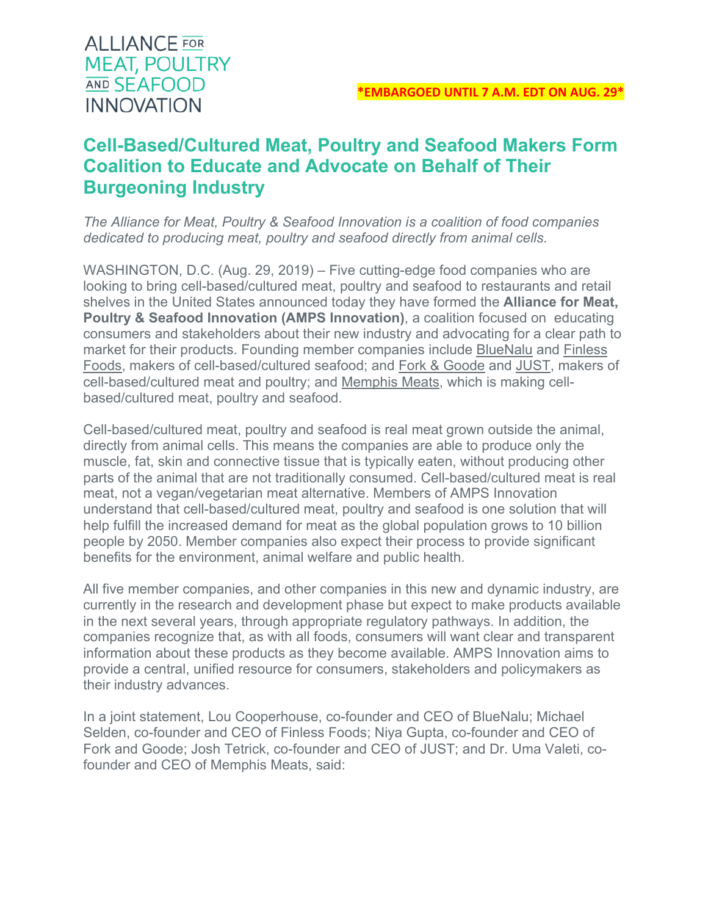# **ALLIANCE** FOR **MEAT, POULTRY AND SEAFOOD INNOVATION**

# **Cell-Based/Cultured Meat, Poultry and Seafood Makers Form Coalition to Educate and Advocate on Behalf of Their Burgeoning Industry**

*The Alliance for Meat, Poultry & Seafood Innovation is a coalition of food companies dedicated to producing meat, poultry and seafood directly from animal cells.*

WASHINGTON, D.C. (Aug. 29, 2019) – Five cutting-edge food companies who are looking to bring cell-based/cultured meat, poultry and seafood to restaurants and retail shelves in the United States announced today they have formed the **Alliance for Meat, Poultry & Seafood Innovation (AMPS Innovation)**, a coalition focused on educating consumers and stakeholders about their new industry and advocating for a clear path to market for their products. Founding member companies include BlueNalu and Finless Foods, makers of cell-based/cultured seafood; and Fork & Goode and JUST, makers of cell-based/cultured meat and poultry; and Memphis Meats, which is making cellbased/cultured meat, poultry and seafood.

Cell-based/cultured meat, poultry and seafood is real meat grown outside the animal, directly from animal cells. This means the companies are able to produce only the muscle, fat, skin and connective tissue that is typically eaten, without producing other parts of the animal that are not traditionally consumed. Cell-based/cultured meat is real meat, not a vegan/vegetarian meat alternative. Members of AMPS Innovation understand that cell-based/cultured meat, poultry and seafood is one solution that will help fulfill the increased demand for meat as the global population grows to 10 billion people by 2050. Member companies also expect their process to provide significant benefits for the environment, animal welfare and public health.

All five member companies, and other companies in this new and dynamic industry, are currently in the research and development phase but expect to make products available in the next several years, through appropriate regulatory pathways. In addition, the companies recognize that, as with all foods, consumers will want clear and transparent information about these products as they become available. AMPS Innovation aims to provide a central, unified resource for consumers, stakeholders and policymakers as their industry advances.

In a joint statement, Lou Cooperhouse, co-founder and CEO of BlueNalu; Michael Selden, co-founder and CEO of Finless Foods; Niya Gupta, co-founder and CEO of Fork and Goode; Josh Tetrick, co-founder and CEO of JUST; and Dr. Uma Valeti, cofounder and CEO of Memphis Meats, said: